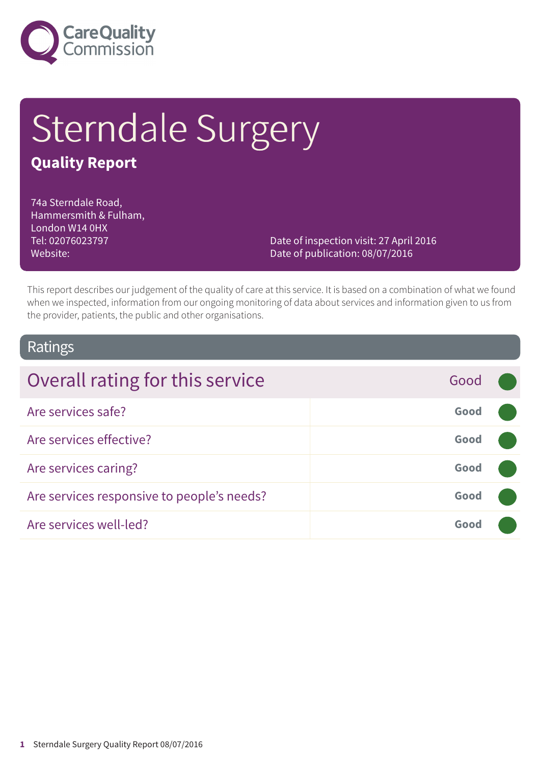

# Sterndale Surgery

### **Quality Report**

74a Sterndale Road, Hammersmith & Fulham, London W14 0HX Tel: 02076023797 Website:

Date of inspection visit: 27 April 2016 Date of publication: 08/07/2016

This report describes our judgement of the quality of care at this service. It is based on a combination of what we found when we inspected, information from our ongoing monitoring of data about services and information given to us from the provider, patients, the public and other organisations.

### Ratings

| Overall rating for this service            | Good |  |
|--------------------------------------------|------|--|
| Are services safe?                         | Good |  |
| Are services effective?                    | Good |  |
| Are services caring?                       | Good |  |
| Are services responsive to people's needs? | Good |  |
| Are services well-led?                     | Good |  |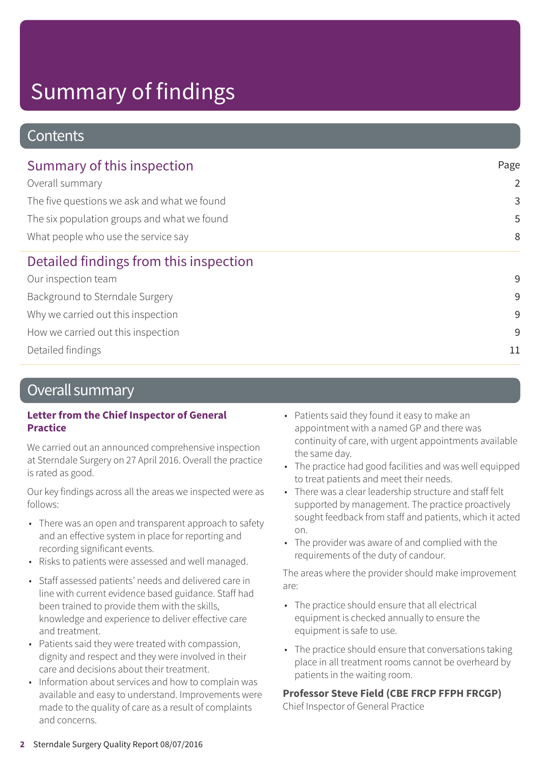### **Contents**

| Summary of this inspection                  | Page           |  |
|---------------------------------------------|----------------|--|
| Overall summary                             | $\overline{2}$ |  |
| The five questions we ask and what we found | 3              |  |
| The six population groups and what we found | 5              |  |
| What people who use the service say         | 8              |  |
| Detailed findings from this inspection      |                |  |
| Our inspection team                         | 9              |  |
| Background to Sterndale Surgery             | 9              |  |
| Why we carried out this inspection          | 9              |  |
| How we carried out this inspection          | 9              |  |
| Detailed findings                           | 11             |  |

### Overall summary

#### **Letter from the Chief Inspector of General Practice**

We carried out an announced comprehensive inspection at Sterndale Surgery on 27 April 2016. Overall the practice is rated as good.

Our key findings across all the areas we inspected were as follows:

- There was an open and transparent approach to safety and an effective system in place for reporting and recording significant events.
- Risks to patients were assessed and well managed.
- Staff assessed patients' needs and delivered care in line with current evidence based guidance. Staff had been trained to provide them with the skills, knowledge and experience to deliver effective care and treatment.
- Patients said they were treated with compassion, dignity and respect and they were involved in their care and decisions about their treatment.
- Information about services and how to complain was available and easy to understand. Improvements were made to the quality of care as a result of complaints and concerns.
- Patients said they found it easy to make an appointment with a named GP and there was continuity of care, with urgent appointments available the same day.
- The practice had good facilities and was well equipped to treat patients and meet their needs.
- There was a clear leadership structure and staff felt supported by management. The practice proactively sought feedback from staff and patients, which it acted on.
- The provider was aware of and complied with the requirements of the duty of candour.

The areas where the provider should make improvement are:

- The practice should ensure that all electrical equipment is checked annually to ensure the equipment is safe to use.
- The practice should ensure that conversations taking place in all treatment rooms cannot be overheard by patients in the waiting room.

**Professor Steve Field (CBE FRCP FFPH FRCGP)**

Chief Inspector of General Practice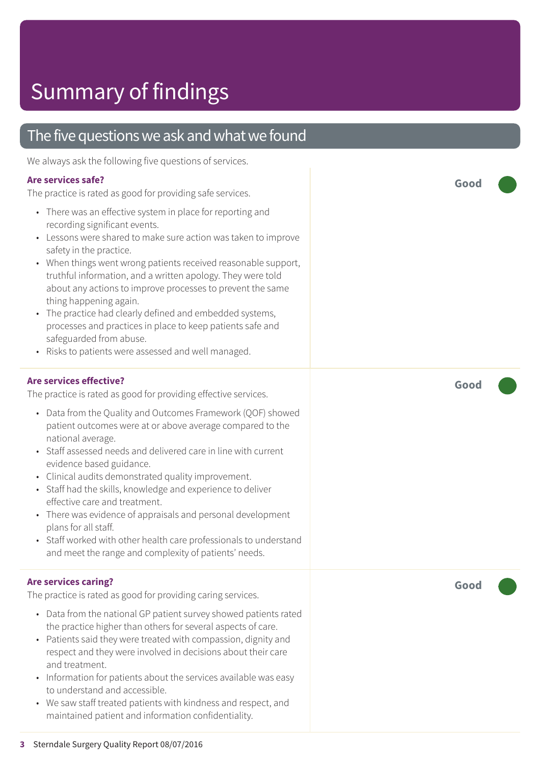### The five questions we ask and what we found

We always ask the following five questions of services.

#### **Are services safe?**

The practice is rated as good for providing safe services.

- There was an effective system in place for reporting and recording significant events.
- Lessons were shared to make sure action was taken to improve safety in the practice.
- When things went wrong patients received reasonable support, truthful information, and a written apology. They were told about any actions to improve processes to prevent the same thing happening again.
- The practice had clearly defined and embedded systems, processes and practices in place to keep patients safe and safeguarded from abuse.
- Risks to patients were assessed and well managed.

#### **Are services effective?**

The practice is rated as good for providing effective services.

- Data from the Quality and Outcomes Framework (QOF) showed patient outcomes were at or above average compared to the national average.
- Staff assessed needs and delivered care in line with current evidence based guidance.
- Clinical audits demonstrated quality improvement.
- Staff had the skills, knowledge and experience to deliver effective care and treatment.
- There was evidence of appraisals and personal development plans for all staff.
- Staff worked with other health care professionals to understand and meet the range and complexity of patients' needs.

#### **Are services caring?**

The practice is rated as good for providing caring services.

- Data from the national GP patient survey showed patients rated the practice higher than others for several aspects of care.
- Patients said they were treated with compassion, dignity and respect and they were involved in decisions about their care and treatment.
- Information for patients about the services available was easy to understand and accessible.
- We saw staff treated patients with kindness and respect, and maintained patient and information confidentiality.

**Good –––**

**Good –––**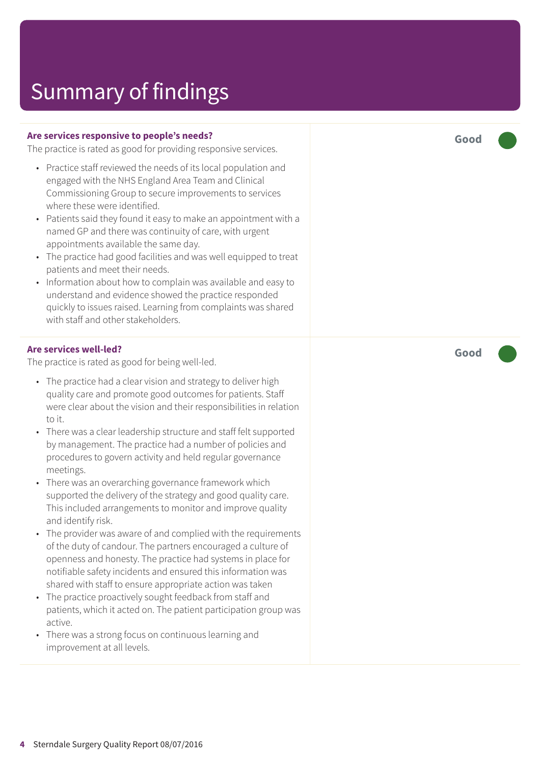#### **Are services responsive to people's needs?**

The practice is rated as good for providing responsive services.

- Practice staff reviewed the needs of its local population and engaged with the NHS England Area Team and Clinical Commissioning Group to secure improvements to services where these were identified.
- Patients said they found it easy to make an appointment with a named GP and there was continuity of care, with urgent appointments available the same day.
- The practice had good facilities and was well equipped to treat patients and meet their needs.
- Information about how to complain was available and easy to understand and evidence showed the practice responded quickly to issues raised. Learning from complaints was shared with staff and other stakeholders.

#### **Are services well-led?**

The practice is rated as good for being well-led.

- The practice had a clear vision and strategy to deliver high quality care and promote good outcomes for patients. Staff were clear about the vision and their responsibilities in relation to it.
- There was a clear leadership structure and staff felt supported by management. The practice had a number of policies and procedures to govern activity and held regular governance meetings.
- There was an overarching governance framework which supported the delivery of the strategy and good quality care. This included arrangements to monitor and improve quality and identify risk.
- The provider was aware of and complied with the requirements of the duty of candour. The partners encouraged a culture of openness and honesty. The practice had systems in place for notifiable safety incidents and ensured this information was shared with staff to ensure appropriate action was taken
- The practice proactively sought feedback from staff and patients, which it acted on. The patient participation group was active.
- There was a strong focus on continuous learning and improvement at all levels.

**Good –––**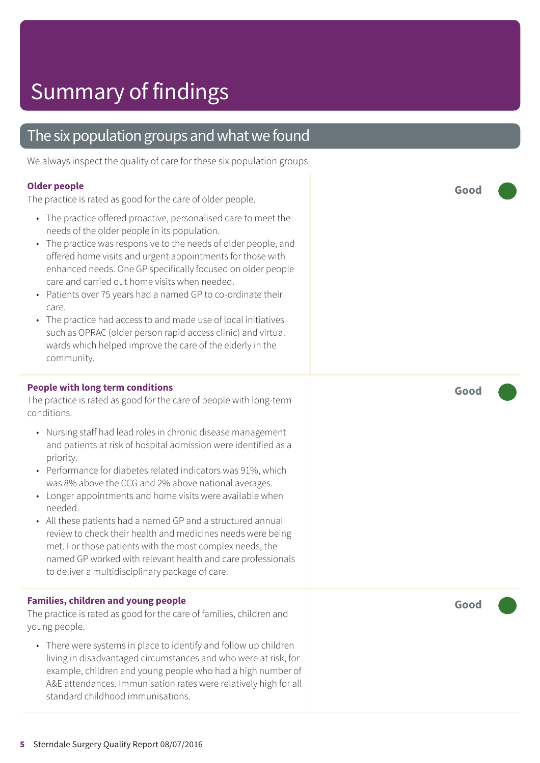### The six population groups and what we found

We always inspect the quality of care for these six population groups.

#### **Older people**

The practice is rated as good for the care of older people.

- The practice offered proactive, personalised care to meet the needs of the older people in its population.
- The practice was responsive to the needs of older people, and offered home visits and urgent appointments for those with enhanced needs. One GP specifically focused on older people care and carried out home visits when needed.
- Patients over 75 years had a named GP to co-ordinate their care.
- The practice had access to and made use of local initiatives such as OPRAC (older person rapid access clinic) and virtual wards which helped improve the care of the elderly in the community.

#### **People with long term conditions**

The practice is rated as good for the care of people with long-term conditions.

- Nursing staff had lead roles in chronic disease management and patients at risk of hospital admission were identified as a priority.
- Performance for diabetes related indicators was 91%, which was 8% above the CCG and 2% above national averages.
- Longer appointments and home visits were available when needed.
- All these patients had a named GP and a structured annual review to check their health and medicines needs were being met. For those patients with the most complex needs, the named GP worked with relevant health and care professionals to deliver a multidisciplinary package of care.

#### **Families, children and young people**

The practice is rated as good for the care of families, children and young people.

• There were systems in place to identify and follow up children living in disadvantaged circumstances and who were at risk, for example, children and young people who had a high number of A&E attendances. Immunisation rates were relatively high for all standard childhood immunisations.

**Good –––**

**Good –––**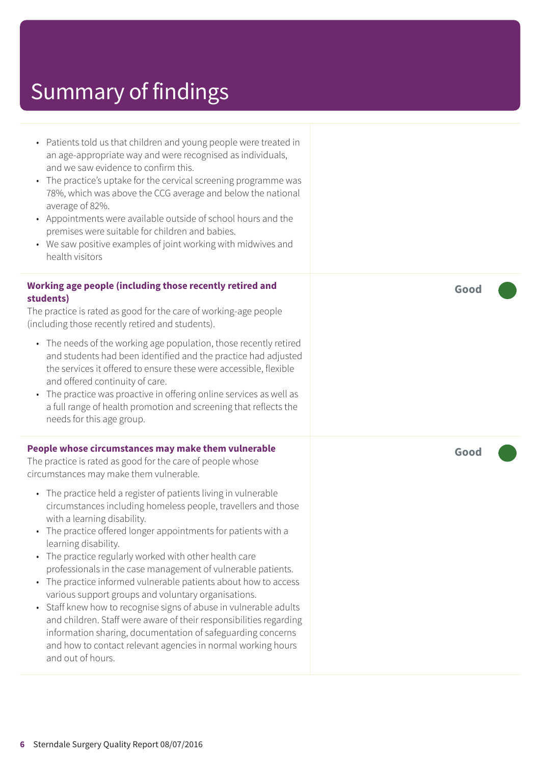- Patients told us that children and young people were treated in an age-appropriate way and were recognised as individuals, and we saw evidence to confirm this.
- The practice's uptake for the cervical screening programme was 78%, which was above the CCG average and below the national average of 82%.
- Appointments were available outside of school hours and the premises were suitable for children and babies.
- We saw positive examples of joint working with midwives and health visitors

#### **Working age people (including those recently retired and students)**

The practice is rated as good for the care of working-age people (including those recently retired and students).

- The needs of the working age population, those recently retired and students had been identified and the practice had adjusted the services it offered to ensure these were accessible, flexible and offered continuity of care.
- The practice was proactive in offering online services as well as a full range of health promotion and screening that reflects the needs for this age group.

#### **People whose circumstances may make them vulnerable**

The practice is rated as good for the care of people whose circumstances may make them vulnerable.

- The practice held a register of patients living in vulnerable circumstances including homeless people, travellers and those with a learning disability.
- The practice offered longer appointments for patients with a learning disability.
- The practice regularly worked with other health care professionals in the case management of vulnerable patients.
- The practice informed vulnerable patients about how to access various support groups and voluntary organisations.
- Staff knew how to recognise signs of abuse in vulnerable adults and children. Staff were aware of their responsibilities regarding information sharing, documentation of safeguarding concerns and how to contact relevant agencies in normal working hours and out of hours.

**Good –––**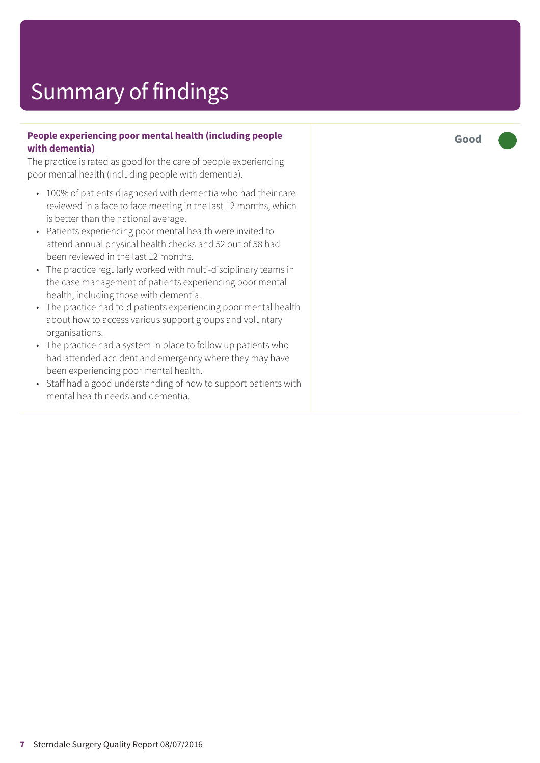#### **People experiencing poor mental health (including people with dementia)**

The practice is rated as good for the care of people experiencing poor mental health (including people with dementia).

- 100% of patients diagnosed with dementia who had their care reviewed in a face to face meeting in the last 12 months, which is better than the national average.
- Patients experiencing poor mental health were invited to attend annual physical health checks and 52 out of 58 had been reviewed in the last 12 months.
- The practice regularly worked with multi-disciplinary teams in the case management of patients experiencing poor mental health, including those with dementia.
- The practice had told patients experiencing poor mental health about how to access various support groups and voluntary organisations.
- The practice had a system in place to follow up patients who had attended accident and emergency where they may have been experiencing poor mental health.
- Staff had a good understanding of how to support patients with mental health needs and dementia.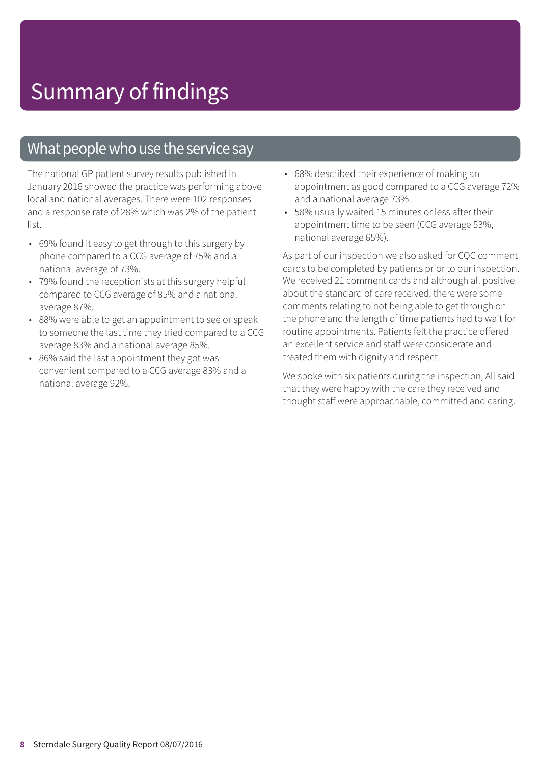### What people who use the service say

The national GP patient survey results published in January 2016 showed the practice was performing above local and national averages. There were 102 responses and a response rate of 28% which was 2% of the patient list.

- 69% found it easy to get through to this surgery by phone compared to a CCG average of 75% and a national average of 73%.
- 79% found the receptionists at this surgery helpful compared to CCG average of 85% and a national average 87%.
- 88% were able to get an appointment to see or speak to someone the last time they tried compared to a CCG average 83% and a national average 85%.
- 86% said the last appointment they got was convenient compared to a CCG average 83% and a national average 92%.
- 68% described their experience of making an appointment as good compared to a CCG average 72% and a national average 73%.
- 58% usually waited 15 minutes or less after their appointment time to be seen (CCG average 53%, national average 65%).

As part of our inspection we also asked for CQC comment cards to be completed by patients prior to our inspection. We received 21 comment cards and although all positive about the standard of care received, there were some comments relating to not being able to get through on the phone and the length of time patients had to wait for routine appointments. Patients felt the practice offered an excellent service and staff were considerate and treated them with dignity and respect

We spoke with six patients during the inspection, All said that they were happy with the care they received and thought staff were approachable, committed and caring.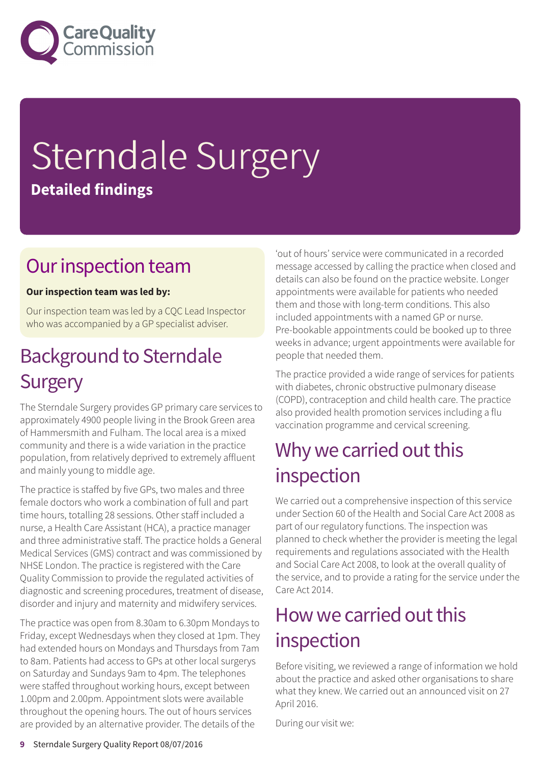

# Sterndale Surgery **Detailed findings**

### Our inspection team

#### **Our inspection team was led by:**

Our inspection team was led by a CQC Lead Inspector who was accompanied by a GP specialist adviser.

### **Background to Sterndale Surgery**

The Sterndale Surgery provides GP primary care services to approximately 4900 people living in the Brook Green area of Hammersmith and Fulham. The local area is a mixed community and there is a wide variation in the practice population, from relatively deprived to extremely affluent and mainly young to middle age.

The practice is staffed by five GPs, two males and three female doctors who work a combination of full and part time hours, totalling 28 sessions. Other staff included a nurse, a Health Care Assistant (HCA), a practice manager and three administrative staff. The practice holds a General Medical Services (GMS) contract and was commissioned by NHSE London. The practice is registered with the Care Quality Commission to provide the regulated activities of diagnostic and screening procedures, treatment of disease, disorder and injury and maternity and midwifery services.

The practice was open from 8.30am to 6.30pm Mondays to Friday, except Wednesdays when they closed at 1pm. They had extended hours on Mondays and Thursdays from 7am to 8am. Patients had access to GPs at other local surgerys on Saturday and Sundays 9am to 4pm. The telephones were staffed throughout working hours, except between 1.00pm and 2.00pm. Appointment slots were available throughout the opening hours. The out of hours services are provided by an alternative provider. The details of the

'out of hours' service were communicated in a recorded message accessed by calling the practice when closed and details can also be found on the practice website. Longer appointments were available for patients who needed them and those with long-term conditions. This also included appointments with a named GP or nurse. Pre-bookable appointments could be booked up to three weeks in advance; urgent appointments were available for people that needed them.

The practice provided a wide range of services for patients with diabetes, chronic obstructive pulmonary disease (COPD), contraception and child health care. The practice also provided health promotion services including a flu vaccination programme and cervical screening.

### Why we carried out this inspection

We carried out a comprehensive inspection of this service under Section 60 of the Health and Social Care Act 2008 as part of our regulatory functions. The inspection was planned to check whether the provider is meeting the legal requirements and regulations associated with the Health and Social Care Act 2008, to look at the overall quality of the service, and to provide a rating for the service under the Care Act 2014.

### How we carried out this inspection

Before visiting, we reviewed a range of information we hold about the practice and asked other organisations to share what they knew. We carried out an announced visit on 27 April 2016.

During our visit we: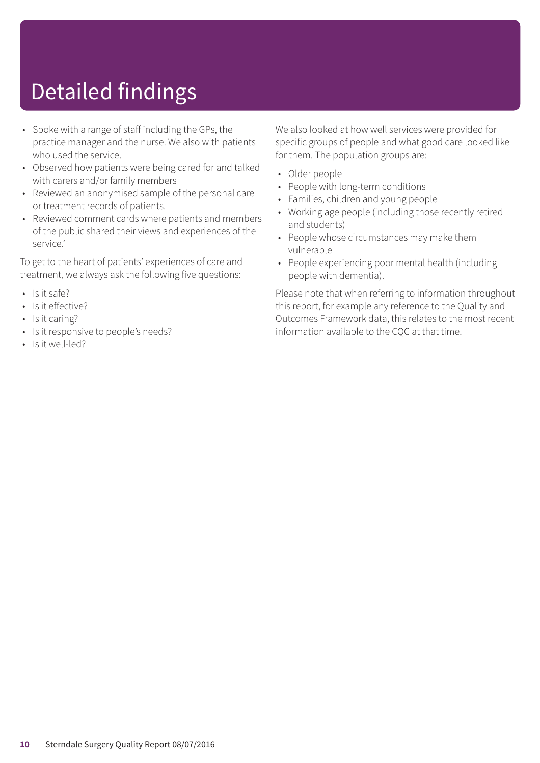# Detailed findings

- Spoke with a range of staff including the GPs, the practice manager and the nurse. We also with patients who used the service.
- Observed how patients were being cared for and talked with carers and/or family members
- Reviewed an anonymised sample of the personal care or treatment records of patients.
- Reviewed comment cards where patients and members of the public shared their views and experiences of the service.'

To get to the heart of patients' experiences of care and treatment, we always ask the following five questions:

- Is it safe?
- Is it effective?
- Is it caring?
- Is it responsive to people's needs?
- Is it well-led?

We also looked at how well services were provided for specific groups of people and what good care looked like for them. The population groups are:

- Older people
- People with long-term conditions
- Families, children and young people
- Working age people (including those recently retired and students)
- People whose circumstances may make them vulnerable
- People experiencing poor mental health (including people with dementia).

Please note that when referring to information throughout this report, for example any reference to the Quality and Outcomes Framework data, this relates to the most recent information available to the CQC at that time.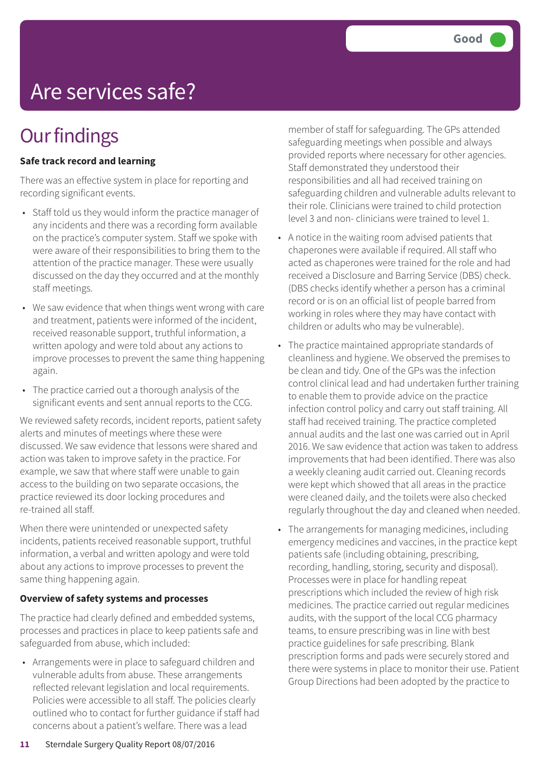# Are services safe?

### **Our findings**

#### **Safe track record and learning**

There was an effective system in place for reporting and recording significant events.

- Staff told us they would inform the practice manager of any incidents and there was a recording form available on the practice's computer system. Staff we spoke with were aware of their responsibilities to bring them to the attention of the practice manager. These were usually discussed on the day they occurred and at the monthly staff meetings.
- We saw evidence that when things went wrong with care and treatment, patients were informed of the incident, received reasonable support, truthful information, a written apology and were told about any actions to improve processes to prevent the same thing happening again.
- The practice carried out a thorough analysis of the significant events and sent annual reports to the CCG.

We reviewed safety records, incident reports, patient safety alerts and minutes of meetings where these were discussed. We saw evidence that lessons were shared and action was taken to improve safety in the practice. For example, we saw that where staff were unable to gain access to the building on two separate occasions, the practice reviewed its door locking procedures and re-trained all staff.

When there were unintended or unexpected safety incidents, patients received reasonable support, truthful information, a verbal and written apology and were told about any actions to improve processes to prevent the same thing happening again.

#### **Overview of safety systems and processes**

The practice had clearly defined and embedded systems, processes and practices in place to keep patients safe and safeguarded from abuse, which included:

• Arrangements were in place to safeguard children and vulnerable adults from abuse. These arrangements reflected relevant legislation and local requirements. Policies were accessible to all staff. The policies clearly outlined who to contact for further guidance if staff had concerns about a patient's welfare. There was a lead

member of staff for safeguarding. The GPs attended safeguarding meetings when possible and always provided reports where necessary for other agencies. Staff demonstrated they understood their responsibilities and all had received training on safeguarding children and vulnerable adults relevant to their role. Clinicians were trained to child protection level 3 and non- clinicians were trained to level 1.

- A notice in the waiting room advised patients that chaperones were available if required. All staff who acted as chaperones were trained for the role and had received a Disclosure and Barring Service (DBS) check. (DBS checks identify whether a person has a criminal record or is on an official list of people barred from working in roles where they may have contact with children or adults who may be vulnerable).
- The practice maintained appropriate standards of cleanliness and hygiene. We observed the premises to be clean and tidy. One of the GPs was the infection control clinical lead and had undertaken further training to enable them to provide advice on the practice infection control policy and carry out staff training. All staff had received training. The practice completed annual audits and the last one was carried out in April 2016. We saw evidence that action was taken to address improvements that had been identified. There was also a weekly cleaning audit carried out. Cleaning records were kept which showed that all areas in the practice were cleaned daily, and the toilets were also checked regularly throughout the day and cleaned when needed.
- The arrangements for managing medicines, including emergency medicines and vaccines, in the practice kept patients safe (including obtaining, prescribing, recording, handling, storing, security and disposal). Processes were in place for handling repeat prescriptions which included the review of high risk medicines. The practice carried out regular medicines audits, with the support of the local CCG pharmacy teams, to ensure prescribing was in line with best practice guidelines for safe prescribing. Blank prescription forms and pads were securely stored and there were systems in place to monitor their use. Patient Group Directions had been adopted by the practice to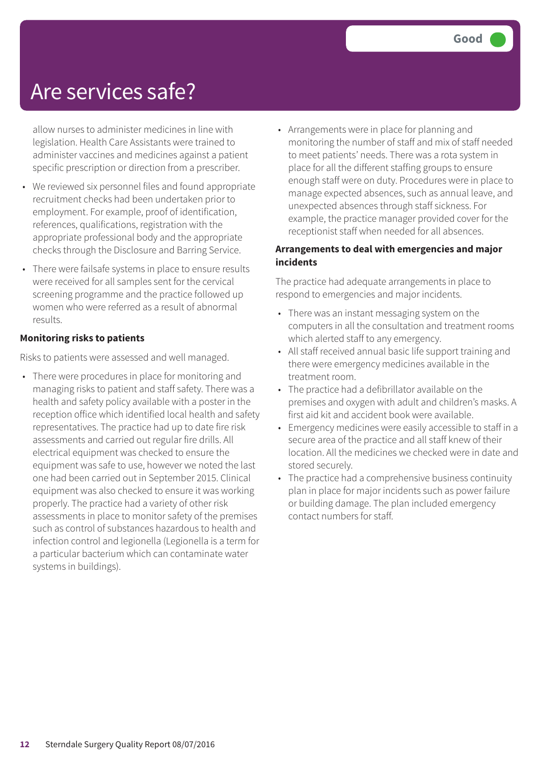### Are services safe?

allow nurses to administer medicines in line with legislation. Health Care Assistants were trained to administer vaccines and medicines against a patient specific prescription or direction from a prescriber.

- We reviewed six personnel files and found appropriate recruitment checks had been undertaken prior to employment. For example, proof of identification, references, qualifications, registration with the appropriate professional body and the appropriate checks through the Disclosure and Barring Service.
- There were failsafe systems in place to ensure results were received for all samples sent for the cervical screening programme and the practice followed up women who were referred as a result of abnormal results.

#### **Monitoring risks to patients**

Risks to patients were assessed and well managed.

• There were procedures in place for monitoring and managing risks to patient and staff safety. There was a health and safety policy available with a poster in the reception office which identified local health and safety representatives. The practice had up to date fire risk assessments and carried out regular fire drills. All electrical equipment was checked to ensure the equipment was safe to use, however we noted the last one had been carried out in September 2015. Clinical equipment was also checked to ensure it was working properly. The practice had a variety of other risk assessments in place to monitor safety of the premises such as control of substances hazardous to health and infection control and legionella (Legionella is a term for a particular bacterium which can contaminate water systems in buildings).

• Arrangements were in place for planning and monitoring the number of staff and mix of staff needed to meet patients' needs. There was a rota system in place for all the different staffing groups to ensure enough staff were on duty. Procedures were in place to manage expected absences, such as annual leave, and unexpected absences through staff sickness. For example, the practice manager provided cover for the receptionist staff when needed for all absences.

#### **Arrangements to deal with emergencies and major incidents**

The practice had adequate arrangements in place to respond to emergencies and major incidents.

- There was an instant messaging system on the computers in all the consultation and treatment rooms which alerted staff to any emergency.
- All staff received annual basic life support training and there were emergency medicines available in the treatment room.
- The practice had a defibrillator available on the premises and oxygen with adult and children's masks. A first aid kit and accident book were available.
- Emergency medicines were easily accessible to staff in a secure area of the practice and all staff knew of their location. All the medicines we checked were in date and stored securely.
- The practice had a comprehensive business continuity plan in place for major incidents such as power failure or building damage. The plan included emergency contact numbers for staff.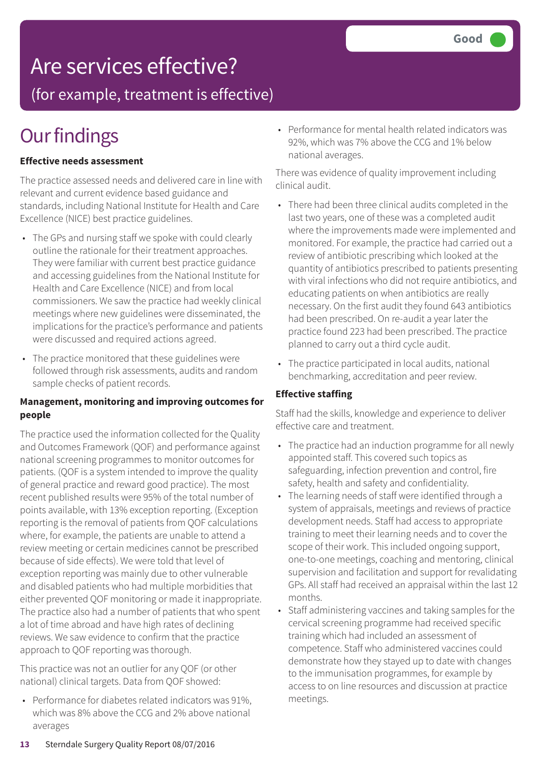### Are services effective?

(for example, treatment is effective)

### **Our findings**

#### **Effective needs assessment**

The practice assessed needs and delivered care in line with relevant and current evidence based guidance and standards, including National Institute for Health and Care Excellence (NICE) best practice guidelines.

- The GPs and nursing staff we spoke with could clearly outline the rationale for their treatment approaches. They were familiar with current best practice guidance and accessing guidelines from the National Institute for Health and Care Excellence (NICE) and from local commissioners. We saw the practice had weekly clinical meetings where new guidelines were disseminated, the implications for the practice's performance and patients were discussed and required actions agreed.
- The practice monitored that these guidelines were followed through risk assessments, audits and random sample checks of patient records.

#### **Management, monitoring and improving outcomes for people**

The practice used the information collected for the Quality and Outcomes Framework (QOF) and performance against national screening programmes to monitor outcomes for patients. (QOF is a system intended to improve the quality of general practice and reward good practice). The most recent published results were 95% of the total number of points available, with 13% exception reporting. (Exception reporting is the removal of patients from QOF calculations where, for example, the patients are unable to attend a review meeting or certain medicines cannot be prescribed because of side effects). We were told that level of exception reporting was mainly due to other vulnerable and disabled patients who had multiple morbidities that either prevented QOF monitoring or made it inappropriate. The practice also had a number of patients that who spent a lot of time abroad and have high rates of declining reviews. We saw evidence to confirm that the practice approach to QOF reporting was thorough.

This practice was not an outlier for any QOF (or other national) clinical targets. Data from QOF showed:

• Performance for diabetes related indicators was 91%, which was 8% above the CCG and 2% above national averages

• Performance for mental health related indicators was 92%, which was 7% above the CCG and 1% below national averages.

There was evidence of quality improvement including clinical audit.

- There had been three clinical audits completed in the last two years, one of these was a completed audit where the improvements made were implemented and monitored. For example, the practice had carried out a review of antibiotic prescribing which looked at the quantity of antibiotics prescribed to patients presenting with viral infections who did not require antibiotics, and educating patients on when antibiotics are really necessary. On the first audit they found 643 antibiotics had been prescribed. On re-audit a year later the practice found 223 had been prescribed. The practice planned to carry out a third cycle audit.
- The practice participated in local audits, national benchmarking, accreditation and peer review.

#### **Effective staffing**

Staff had the skills, knowledge and experience to deliver effective care and treatment.

- The practice had an induction programme for all newly appointed staff. This covered such topics as safeguarding, infection prevention and control, fire safety, health and safety and confidentiality.
- The learning needs of staff were identified through a system of appraisals, meetings and reviews of practice development needs. Staff had access to appropriate training to meet their learning needs and to cover the scope of their work. This included ongoing support, one-to-one meetings, coaching and mentoring, clinical supervision and facilitation and support for revalidating GPs. All staff had received an appraisal within the last 12 months.
- Staff administering vaccines and taking samples for the cervical screening programme had received specific training which had included an assessment of competence. Staff who administered vaccines could demonstrate how they stayed up to date with changes to the immunisation programmes, for example by access to on line resources and discussion at practice meetings.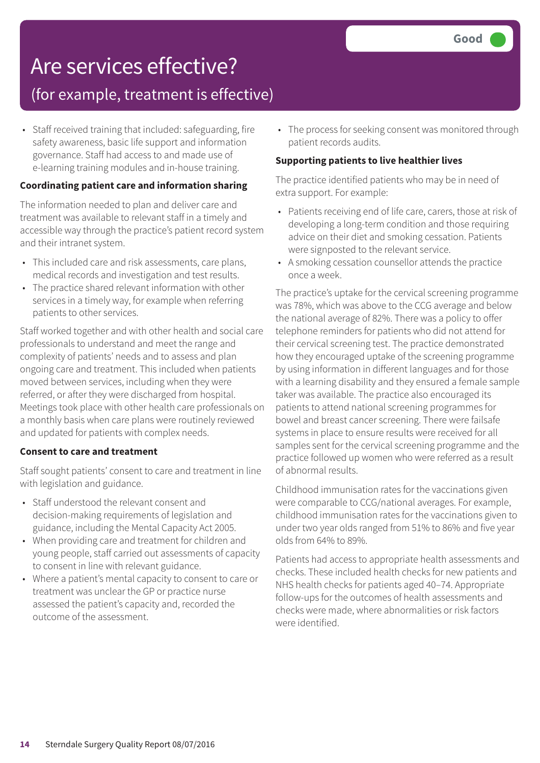### Are services effective? (for example, treatment is effective)

• Staff received training that included: safeguarding, fire safety awareness, basic life support and information governance. Staff had access to and made use of

#### e-learning training modules and in-house training. **Coordinating patient care and information sharing**

The information needed to plan and deliver care and treatment was available to relevant staff in a timely and accessible way through the practice's patient record system and their intranet system.

- This included care and risk assessments, care plans, medical records and investigation and test results.
- The practice shared relevant information with other services in a timely way, for example when referring patients to other services.

Staff worked together and with other health and social care professionals to understand and meet the range and complexity of patients' needs and to assess and plan ongoing care and treatment. This included when patients moved between services, including when they were referred, or after they were discharged from hospital. Meetings took place with other health care professionals on a monthly basis when care plans were routinely reviewed and updated for patients with complex needs.

#### **Consent to care and treatment**

Staff sought patients' consent to care and treatment in line with legislation and guidance.

- Staff understood the relevant consent and decision-making requirements of legislation and guidance, including the Mental Capacity Act 2005.
- When providing care and treatment for children and young people, staff carried out assessments of capacity to consent in line with relevant guidance.
- Where a patient's mental capacity to consent to care or treatment was unclear the GP or practice nurse assessed the patient's capacity and, recorded the outcome of the assessment.

• The process for seeking consent was monitored through patient records audits.

#### **Supporting patients to live healthier lives**

The practice identified patients who may be in need of extra support. For example:

- Patients receiving end of life care, carers, those at risk of developing a long-term condition and those requiring advice on their diet and smoking cessation. Patients were signposted to the relevant service.
- A smoking cessation counsellor attends the practice once a week.

The practice's uptake for the cervical screening programme was 78%, which was above to the CCG average and below the national average of 82%. There was a policy to offer telephone reminders for patients who did not attend for their cervical screening test. The practice demonstrated how they encouraged uptake of the screening programme by using information in different languages and for those with a learning disability and they ensured a female sample taker was available. The practice also encouraged its patients to attend national screening programmes for bowel and breast cancer screening. There were failsafe systems in place to ensure results were received for all samples sent for the cervical screening programme and the practice followed up women who were referred as a result of abnormal results.

Childhood immunisation rates for the vaccinations given were comparable to CCG/national averages. For example, childhood immunisation rates for the vaccinations given to under two year olds ranged from 51% to 86% and five year olds from 64% to 89%.

Patients had access to appropriate health assessments and checks. These included health checks for new patients and NHS health checks for patients aged 40–74. Appropriate follow-ups for the outcomes of health assessments and checks were made, where abnormalities or risk factors were identified.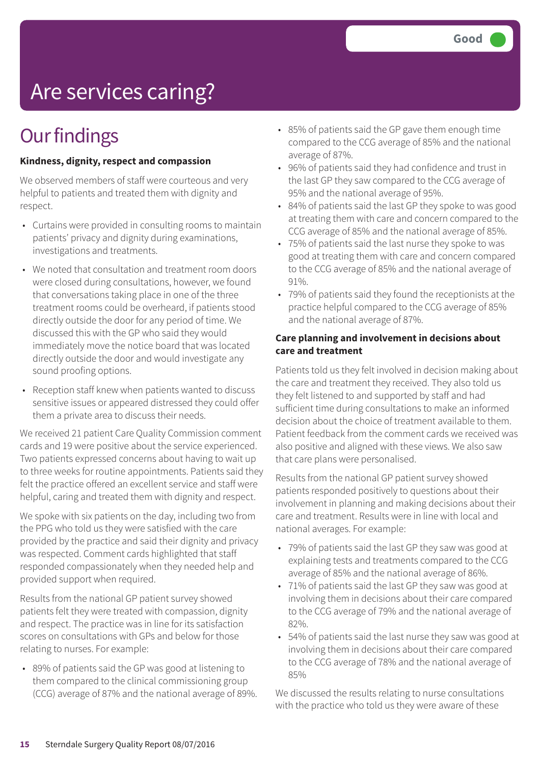# Are services caring?

### **Our findings**

#### **Kindness, dignity, respect and compassion**

We observed members of staff were courteous and very helpful to patients and treated them with dignity and respect.

- Curtains were provided in consulting rooms to maintain patients' privacy and dignity during examinations, investigations and treatments.
- We noted that consultation and treatment room doors were closed during consultations, however, we found that conversations taking place in one of the three treatment rooms could be overheard, if patients stood directly outside the door for any period of time. We discussed this with the GP who said they would immediately move the notice board that was located directly outside the door and would investigate any sound proofing options.
- Reception staff knew when patients wanted to discuss sensitive issues or appeared distressed they could offer them a private area to discuss their needs.

We received 21 patient Care Quality Commission comment cards and 19 were positive about the service experienced. Two patients expressed concerns about having to wait up to three weeks for routine appointments. Patients said they felt the practice offered an excellent service and staff were helpful, caring and treated them with dignity and respect.

We spoke with six patients on the day, including two from the PPG who told us they were satisfied with the care provided by the practice and said their dignity and privacy was respected. Comment cards highlighted that staff responded compassionately when they needed help and provided support when required.

Results from the national GP patient survey showed patients felt they were treated with compassion, dignity and respect. The practice was in line for its satisfaction scores on consultations with GPs and below for those relating to nurses. For example:

• 89% of patients said the GP was good at listening to them compared to the clinical commissioning group (CCG) average of 87% and the national average of 89%.

- 85% of patients said the GP gave them enough time compared to the CCG average of 85% and the national average of 87%.
- 96% of patients said they had confidence and trust in the last GP they saw compared to the CCG average of 95% and the national average of 95%.
- 84% of patients said the last GP they spoke to was good at treating them with care and concern compared to the CCG average of 85% and the national average of 85%.
- 75% of patients said the last nurse they spoke to was good at treating them with care and concern compared to the CCG average of 85% and the national average of 91%.
- 79% of patients said they found the receptionists at the practice helpful compared to the CCG average of 85% and the national average of 87%.

#### **Care planning and involvement in decisions about care and treatment**

Patients told us they felt involved in decision making about the care and treatment they received. They also told us they felt listened to and supported by staff and had sufficient time during consultations to make an informed decision about the choice of treatment available to them. Patient feedback from the comment cards we received was also positive and aligned with these views. We also saw that care plans were personalised.

Results from the national GP patient survey showed patients responded positively to questions about their involvement in planning and making decisions about their care and treatment. Results were in line with local and national averages. For example:

- 79% of patients said the last GP they saw was good at explaining tests and treatments compared to the CCG average of 85% and the national average of 86%.
- 71% of patients said the last GP they saw was good at involving them in decisions about their care compared to the CCG average of 79% and the national average of 82%.
- 54% of patients said the last nurse they saw was good at involving them in decisions about their care compared to the CCG average of 78% and the national average of 85%

We discussed the results relating to nurse consultations with the practice who told us they were aware of these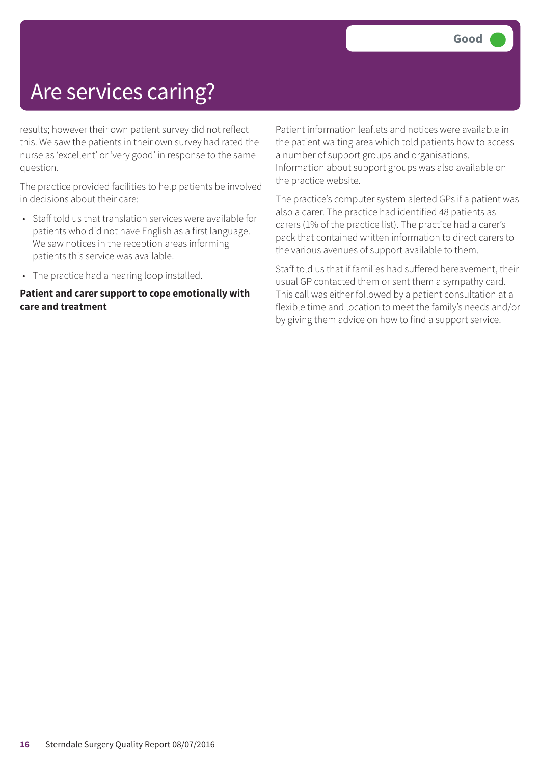### Are services caring?

results; however their own patient survey did not reflect this. We saw the patients in their own survey had rated the nurse as 'excellent' or 'very good' in response to the same question.

The practice provided facilities to help patients be involved in decisions about their care:

- Staff told us that translation services were available for patients who did not have English as a first language. We saw notices in the reception areas informing patients this service was available.
- The practice had a hearing loop installed.

#### **Patient and carer support to cope emotionally with care and treatment**

Patient information leaflets and notices were available in the patient waiting area which told patients how to access a number of support groups and organisations. Information about support groups was also available on the practice website.

The practice's computer system alerted GPs if a patient was also a carer. The practice had identified 48 patients as carers (1% of the practice list). The practice had a carer's pack that contained written information to direct carers to the various avenues of support available to them.

Staff told us that if families had suffered bereavement, their usual GP contacted them or sent them a sympathy card. This call was either followed by a patient consultation at a flexible time and location to meet the family's needs and/or by giving them advice on how to find a support service.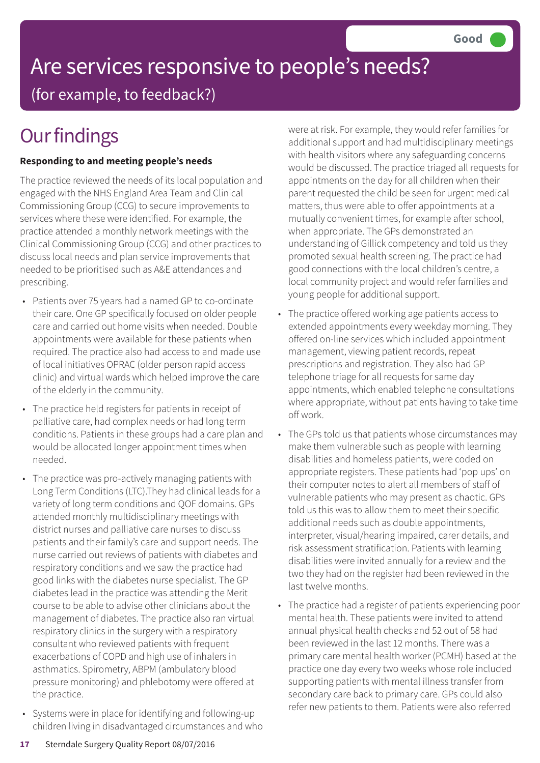### Are services responsive to people's needs? (for example, to feedback?)

## **Our findings**

#### **Responding to and meeting people's needs**

The practice reviewed the needs of its local population and engaged with the NHS England Area Team and Clinical Commissioning Group (CCG) to secure improvements to services where these were identified. For example, the practice attended a monthly network meetings with the Clinical Commissioning Group (CCG) and other practices to discuss local needs and plan service improvements that needed to be prioritised such as A&E attendances and prescribing.

- Patients over 75 years had a named GP to co-ordinate their care. One GP specifically focused on older people care and carried out home visits when needed. Double appointments were available for these patients when required. The practice also had access to and made use of local initiatives OPRAC (older person rapid access clinic) and virtual wards which helped improve the care of the elderly in the community.
- The practice held registers for patients in receipt of palliative care, had complex needs or had long term conditions. Patients in these groups had a care plan and would be allocated longer appointment times when needed.
- The practice was pro-actively managing patients with Long Term Conditions (LTC).They had clinical leads for a variety of long term conditions and QOF domains. GPs attended monthly multidisciplinary meetings with district nurses and palliative care nurses to discuss patients and their family's care and support needs. The nurse carried out reviews of patients with diabetes and respiratory conditions and we saw the practice had good links with the diabetes nurse specialist. The GP diabetes lead in the practice was attending the Merit course to be able to advise other clinicians about the management of diabetes. The practice also ran virtual respiratory clinics in the surgery with a respiratory consultant who reviewed patients with frequent exacerbations of COPD and high use of inhalers in asthmatics. Spirometry, ABPM (ambulatory blood pressure monitoring) and phlebotomy were offered at the practice.
- Systems were in place for identifying and following-up children living in disadvantaged circumstances and who

were at risk. For example, they would refer families for additional support and had multidisciplinary meetings with health visitors where any safeguarding concerns would be discussed. The practice triaged all requests for appointments on the day for all children when their parent requested the child be seen for urgent medical matters, thus were able to offer appointments at a mutually convenient times, for example after school, when appropriate. The GPs demonstrated an understanding of Gillick competency and told us they promoted sexual health screening. The practice had good connections with the local children's centre, a local community project and would refer families and young people for additional support.

- The practice offered working age patients access to extended appointments every weekday morning. They offered on-line services which included appointment management, viewing patient records, repeat prescriptions and registration. They also had GP telephone triage for all requests for same day appointments, which enabled telephone consultations where appropriate, without patients having to take time off work.
- The GPs told us that patients whose circumstances may make them vulnerable such as people with learning disabilities and homeless patients, were coded on appropriate registers. These patients had 'pop ups' on their computer notes to alert all members of staff of vulnerable patients who may present as chaotic. GPs told us this was to allow them to meet their specific additional needs such as double appointments, interpreter, visual/hearing impaired, carer details, and risk assessment stratification. Patients with learning disabilities were invited annually for a review and the two they had on the register had been reviewed in the last twelve months.
- The practice had a register of patients experiencing poor mental health. These patients were invited to attend annual physical health checks and 52 out of 58 had been reviewed in the last 12 months. There was a primary care mental health worker (PCMH) based at the practice one day every two weeks whose role included supporting patients with mental illness transfer from secondary care back to primary care. GPs could also refer new patients to them. Patients were also referred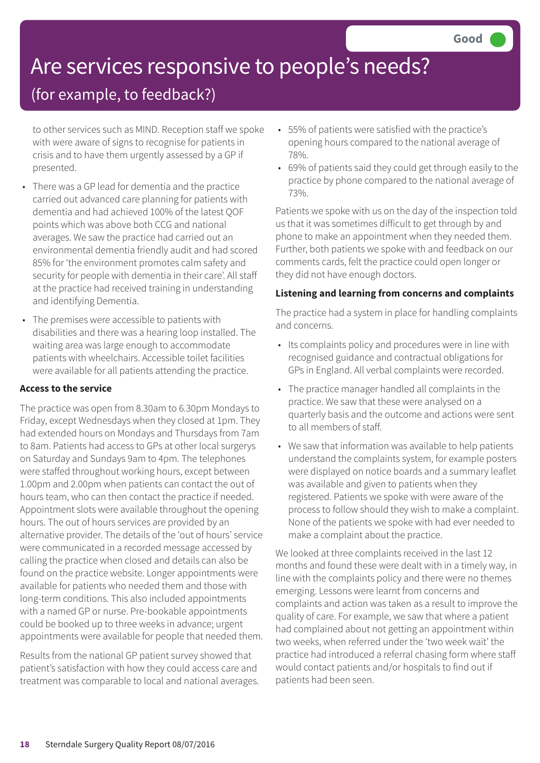# Are services responsive to people's needs?

### (for example, to feedback?)

to other services such as MIND. Reception staff we spoke with were aware of signs to recognise for patients in crisis and to have them urgently assessed by a GP if presented.

- There was a GP lead for dementia and the practice carried out advanced care planning for patients with dementia and had achieved 100% of the latest QOF points which was above both CCG and national averages. We saw the practice had carried out an environmental dementia friendly audit and had scored 85% for 'the environment promotes calm safety and security for people with dementia in their care'. All staff at the practice had received training in understanding and identifying Dementia.
- The premises were accessible to patients with disabilities and there was a hearing loop installed. The waiting area was large enough to accommodate patients with wheelchairs. Accessible toilet facilities were available for all patients attending the practice.

#### **Access to the service**

The practice was open from 8.30am to 6.30pm Mondays to Friday, except Wednesdays when they closed at 1pm. They had extended hours on Mondays and Thursdays from 7am to 8am. Patients had access to GPs at other local surgerys on Saturday and Sundays 9am to 4pm. The telephones were staffed throughout working hours, except between 1.00pm and 2.00pm when patients can contact the out of hours team, who can then contact the practice if needed. Appointment slots were available throughout the opening hours. The out of hours services are provided by an alternative provider. The details of the 'out of hours' service were communicated in a recorded message accessed by calling the practice when closed and details can also be found on the practice website. Longer appointments were available for patients who needed them and those with long-term conditions. This also included appointments with a named GP or nurse. Pre-bookable appointments could be booked up to three weeks in advance; urgent appointments were available for people that needed them.

Results from the national GP patient survey showed that patient's satisfaction with how they could access care and treatment was comparable to local and national averages.

- 55% of patients were satisfied with the practice's opening hours compared to the national average of 78%.
- 69% of patients said they could get through easily to the practice by phone compared to the national average of 73%.

Patients we spoke with us on the day of the inspection told us that it was sometimes difficult to get through by and phone to make an appointment when they needed them. Further, both patients we spoke with and feedback on our comments cards, felt the practice could open longer or they did not have enough doctors.

#### **Listening and learning from concerns and complaints**

The practice had a system in place for handling complaints and concerns.

- Its complaints policy and procedures were in line with recognised guidance and contractual obligations for GPs in England. All verbal complaints were recorded.
- The practice manager handled all complaints in the practice. We saw that these were analysed on a quarterly basis and the outcome and actions were sent to all members of staff.
- We saw that information was available to help patients understand the complaints system, for example posters were displayed on notice boards and a summary leaflet was available and given to patients when they registered. Patients we spoke with were aware of the process to follow should they wish to make a complaint. None of the patients we spoke with had ever needed to make a complaint about the practice.

We looked at three complaints received in the last 12 months and found these were dealt with in a timely way, in line with the complaints policy and there were no themes emerging. Lessons were learnt from concerns and complaints and action was taken as a result to improve the quality of care. For example, we saw that where a patient had complained about not getting an appointment within two weeks, when referred under the 'two week wait' the practice had introduced a referral chasing form where staff would contact patients and/or hospitals to find out if patients had been seen.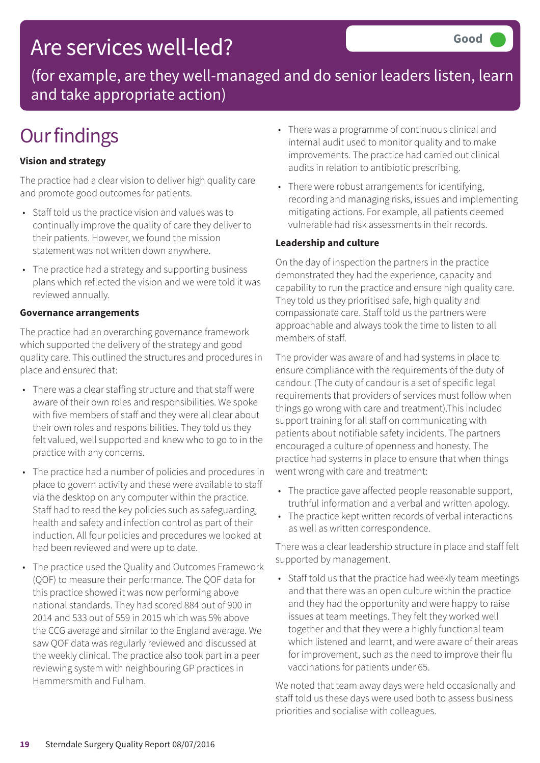### Are services well-led?

(for example, are they well-managed and do senior leaders listen, learn and take appropriate action)

### **Our findings**

#### **Vision and strategy**

The practice had a clear vision to deliver high quality care and promote good outcomes for patients.

- Staff told us the practice vision and values was to continually improve the quality of care they deliver to their patients. However, we found the mission statement was not written down anywhere.
- The practice had a strategy and supporting business plans which reflected the vision and we were told it was reviewed annually.

#### **Governance arrangements**

The practice had an overarching governance framework which supported the delivery of the strategy and good quality care. This outlined the structures and procedures in place and ensured that:

- There was a clear staffing structure and that staff were aware of their own roles and responsibilities. We spoke with five members of staff and they were all clear about their own roles and responsibilities. They told us they felt valued, well supported and knew who to go to in the practice with any concerns.
- The practice had a number of policies and procedures in place to govern activity and these were available to staff via the desktop on any computer within the practice. Staff had to read the key policies such as safeguarding, health and safety and infection control as part of their induction. All four policies and procedures we looked at had been reviewed and were up to date.
- The practice used the Quality and Outcomes Framework (QOF) to measure their performance. The QOF data for this practice showed it was now performing above national standards. They had scored 884 out of 900 in 2014 and 533 out of 559 in 2015 which was 5% above the CCG average and similar to the England average. We saw QOF data was regularly reviewed and discussed at the weekly clinical. The practice also took part in a peer reviewing system with neighbouring GP practices in Hammersmith and Fulham.
- There was a programme of continuous clinical and internal audit used to monitor quality and to make improvements. The practice had carried out clinical audits in relation to antibiotic prescribing.
- There were robust arrangements for identifying, recording and managing risks, issues and implementing mitigating actions. For example, all patients deemed vulnerable had risk assessments in their records.

#### **Leadership and culture**

On the day of inspection the partners in the practice demonstrated they had the experience, capacity and capability to run the practice and ensure high quality care. They told us they prioritised safe, high quality and compassionate care. Staff told us the partners were approachable and always took the time to listen to all members of staff.

The provider was aware of and had systems in place to ensure compliance with the requirements of the duty of candour. (The duty of candour is a set of specific legal requirements that providers of services must follow when things go wrong with care and treatment).This included support training for all staff on communicating with patients about notifiable safety incidents. The partners encouraged a culture of openness and honesty. The practice had systems in place to ensure that when things went wrong with care and treatment:

- The practice gave affected people reasonable support, truthful information and a verbal and written apology.
- The practice kept written records of verbal interactions as well as written correspondence.

There was a clear leadership structure in place and staff felt supported by management.

• Staff told us that the practice had weekly team meetings and that there was an open culture within the practice and they had the opportunity and were happy to raise issues at team meetings. They felt they worked well together and that they were a highly functional team which listened and learnt, and were aware of their areas for improvement, such as the need to improve their flu vaccinations for patients under 65.

We noted that team away days were held occasionally and staff told us these days were used both to assess business priorities and socialise with colleagues.